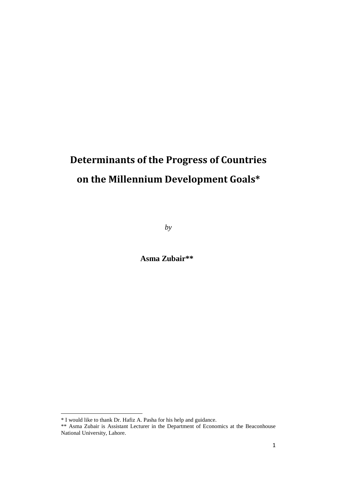# **Determinants of the Progress of Countries on the Millennium Development Goals\***

*by*

**Asma Zubair\*\*[1](#page-0-0)**

.<br>-

<sup>\*</sup> I would like to thank Dr. Hafiz A. Pasha for his help and guidance.

<span id="page-0-0"></span><sup>\*\*</sup> Asma Zubair is Assistant Lecturer in the Department of Economics at the Beaconhouse National University, Lahore.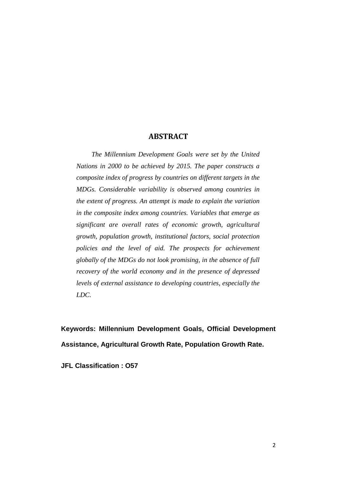#### **ABSTRACT**

*The Millennium Development Goals were set by the United Nations in 2000 to be achieved by 2015. The paper constructs a composite index of progress by countries on different targets in the MDGs. Considerable variability is observed among countries in the extent of progress. An attempt is made to explain the variation in the composite index among countries. Variables that emerge as significant are overall rates of economic growth, agricultural growth, population growth, institutional factors, social protection policies and the level of aid. The prospects for achievement globally of the MDGs do not look promising, in the absence of full recovery of the world economy and in the presence of depressed levels of external assistance to developing countries, especially the LDC.*

**Keywords: Millennium Development Goals, Official Development Assistance, Agricultural Growth Rate, Population Growth Rate.**

**JFL Classification : O57**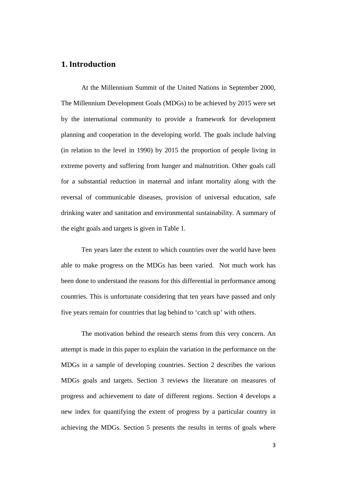#### **1. Introduction**

At the Millennium Summit of the United Nations in September 2000, The Millennium Development Goals (MDGs) to be achieved by 2015 were set by the international community to provide a framework for development planning and cooperation in the developing world. The goals include halving (in relation to the level in 1990) by 2015 the proportion of people living in extreme poverty and suffering from hunger and malnutrition. Other goals call for a substantial reduction in maternal and infant mortality along with the reversal of communicable diseases, provision of universal education, safe drinking water and sanitation and environmental sustainability. A summary of the eight goals and targets is given in Table 1.

Ten years later the extent to which countries over the world have been able to make progress on the MDGs has been varied. Not much work has been done to understand the reasons for this differential in performance among countries. This is unfortunate considering that ten years have passed and only five years remain for countries that lag behind to 'catch up' with others.

The motivation behind the research stems from this very concern. An attempt is made in this paper to explain the variation in the performance on the MDGs in a sample of developing countries. Section 2 describes the various MDGs goals and targets. Section 3 reviews the literature on measures of progress and achievement to date of different regions. Section 4 develops a new index for quantifying the extent of progress by a particular country in achieving the MDGs. Section 5 presents the results in terms of goals where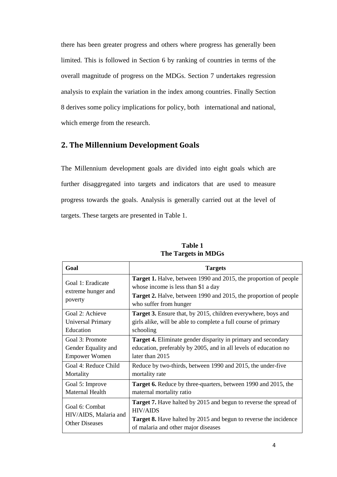there has been greater progress and others where progress has generally been limited. This is followed in Section 6 by ranking of countries in terms of the overall magnitude of progress on the MDGs. Section 7 undertakes regression analysis to explain the variation in the index among countries. Finally Section 8 derives some policy implications for policy, both international and national, which emerge from the research.

### **2. The Millennium Development Goals**

The Millennium development goals are divided into eight goals which are further disaggregated into targets and indicators that are used to measure progress towards the goals. Analysis is generally carried out at the level of targets. These targets are presented in Table 1.

| Goal                                                             | <b>Targets</b>                                                                                                                                                                                                      |
|------------------------------------------------------------------|---------------------------------------------------------------------------------------------------------------------------------------------------------------------------------------------------------------------|
| Goal 1: Eradicate<br>extreme hunger and<br>poverty               | <b>Target 1.</b> Halve, between 1990 and 2015, the proportion of people<br>whose income is less than \$1 a day<br><b>Target 2.</b> Halve, between 1990 and 2015, the proportion of people<br>who suffer from hunger |
| Goal 2: Achieve                                                  | <b>Target 3.</b> Ensure that, by 2015, children everywhere, boys and                                                                                                                                                |
| Universal Primary                                                | girls alike, will be able to complete a full course of primary                                                                                                                                                      |
| Education                                                        | schooling                                                                                                                                                                                                           |
| Goal 3: Promote                                                  | <b>Target 4.</b> Eliminate gender disparity in primary and secondary                                                                                                                                                |
| Gender Equality and                                              | education, preferably by 2005, and in all levels of education no                                                                                                                                                    |
| <b>Empower Women</b>                                             | later than 2015                                                                                                                                                                                                     |
| Goal 4: Reduce Child                                             | Reduce by two-thirds, between 1990 and 2015, the under-five                                                                                                                                                         |
| Mortality                                                        | mortality rate                                                                                                                                                                                                      |
| Goal 5: Improve                                                  | <b>Target 6.</b> Reduce by three-quarters, between 1990 and 2015, the                                                                                                                                               |
| Maternal Health                                                  | maternal mortality ratio                                                                                                                                                                                            |
| Goal 6: Combat<br>HIV/AIDS, Malaria and<br><b>Other Diseases</b> | <b>Target 7.</b> Have halted by 2015 and begun to reverse the spread of<br><b>HIV/AIDS</b><br><b>Target 8.</b> Have halted by 2015 and begun to reverse the incidence<br>of malaria and other major diseases        |

**Table 1 The Targets in MDGs**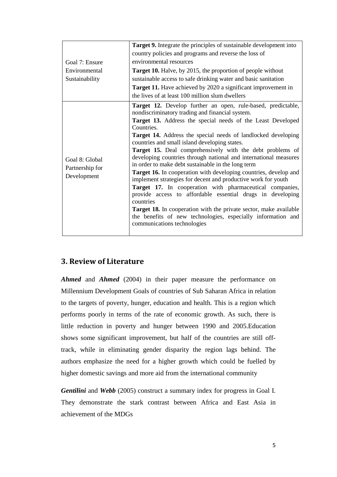|                                                  | Target 9. Integrate the principles of sustainable development into                                                                                                                                                                                                                                                                                                                                                                                                                                                                                                                                                                                                                                                                                                                                                                                                                                                                                                         |  |  |  |  |
|--------------------------------------------------|----------------------------------------------------------------------------------------------------------------------------------------------------------------------------------------------------------------------------------------------------------------------------------------------------------------------------------------------------------------------------------------------------------------------------------------------------------------------------------------------------------------------------------------------------------------------------------------------------------------------------------------------------------------------------------------------------------------------------------------------------------------------------------------------------------------------------------------------------------------------------------------------------------------------------------------------------------------------------|--|--|--|--|
|                                                  | country policies and programs and reverse the loss of                                                                                                                                                                                                                                                                                                                                                                                                                                                                                                                                                                                                                                                                                                                                                                                                                                                                                                                      |  |  |  |  |
| Goal 7: Ensure                                   | environmental resources                                                                                                                                                                                                                                                                                                                                                                                                                                                                                                                                                                                                                                                                                                                                                                                                                                                                                                                                                    |  |  |  |  |
| Environmental                                    | <b>Target 10.</b> Halve, by 2015, the proportion of people without                                                                                                                                                                                                                                                                                                                                                                                                                                                                                                                                                                                                                                                                                                                                                                                                                                                                                                         |  |  |  |  |
| Sustainability                                   | sustainable access to safe drinking water and basic sanitation                                                                                                                                                                                                                                                                                                                                                                                                                                                                                                                                                                                                                                                                                                                                                                                                                                                                                                             |  |  |  |  |
|                                                  | Target 11. Have achieved by 2020 a significant improvement in                                                                                                                                                                                                                                                                                                                                                                                                                                                                                                                                                                                                                                                                                                                                                                                                                                                                                                              |  |  |  |  |
|                                                  | the lives of at least 100 million slum dwellers                                                                                                                                                                                                                                                                                                                                                                                                                                                                                                                                                                                                                                                                                                                                                                                                                                                                                                                            |  |  |  |  |
| Goal 8: Global<br>Partnership for<br>Development | Target 12. Develop further an open, rule-based, predictable,<br>nondiscriminatory trading and financial system.<br>Target 13. Address the special needs of the Least Developed<br>Countries.<br><b>Target 14.</b> Address the special needs of landlocked developing<br>countries and small island developing states.<br>Target 15. Deal comprehensively with the debt problems of<br>developing countries through national and international measures<br>in order to make debt sustainable in the long term<br><b>Target 16.</b> In cooperation with developing countries, develop and<br>implement strategies for decent and productive work for youth<br>Target 17. In cooperation with pharmaceutical companies,<br>provide access to affordable essential drugs in developing<br>countries<br><b>Target 18.</b> In cooperation with the private sector, make available<br>the benefits of new technologies, especially information and<br>communications technologies |  |  |  |  |

### **3. Review of Literature**

*Ahmed* and *Ahmed* (2004) in their paper measure the performance on Millennium Development Goals of countries of Sub Saharan Africa in relation to the targets of poverty, hunger, education and health. This is a region which performs poorly in terms of the rate of economic growth. As such, there is little reduction in poverty and hunger between 1990 and 2005.Education shows some significant improvement, but half of the countries are still offtrack, while in eliminating gender disparity the region lags behind. The authors emphasize the need for a higher growth which could be fuelled by higher domestic savings and more aid from the international community

*Gentilini* and *Webb* (2005) construct a summary index for progress in Goal I. They demonstrate the stark contrast between Africa and East Asia in achievement of the MDGs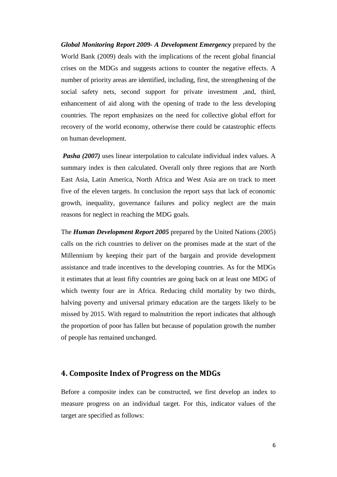*Global Monitoring Report 2009- A Development Emergency* prepared by the World Bank (2009) deals with the implications of the recent global financial crises on the MDGs and suggests actions to counter the negative effects. A number of priority areas are identified, including, first, the strengthening of the social safety nets, second support for private investment ,and, third, enhancement of aid along with the opening of trade to the less developing countries. The report emphasizes on the need for collective global effort for recovery of the world economy, otherwise there could be catastrophic effects on human development.

*Pasha* (2007) uses linear interpolation to calculate individual index values. A summary index is then calculated. Overall only three regions that are North East Asia, Latin America, North Africa and West Asia are on track to meet five of the eleven targets. In conclusion the report says that lack of economic growth, inequality, governance failures and policy neglect are the main reasons for neglect in reaching the MDG goals.

The *Human Development Report 2005* prepared by the United Nations (2005) calls on the rich countries to deliver on the promises made at the start of the Millennium by keeping their part of the bargain and provide development assistance and trade incentives to the developing countries. As for the MDGs it estimates that at least fifty countries are going back on at least one MDG of which twenty four are in Africa. Reducing child mortality by two thirds, halving poverty and universal primary education are the targets likely to be missed by 2015. With regard to malnutrition the report indicates that although the proportion of poor has fallen but because of population growth the number of people has remained unchanged.

#### **4. Composite Index of Progress on the MDGs**

Before a composite index can be constructed, we first develop an index to measure progress on an individual target. For this, indicator values of the target are specified as follows: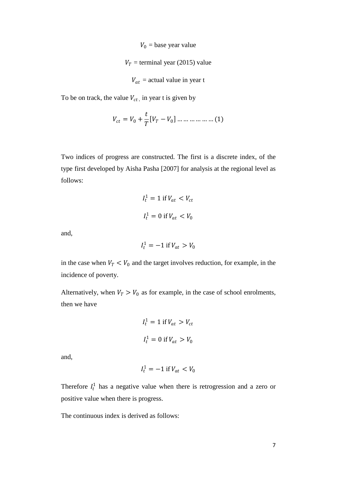$V_0$  = base year value  $V_T$  = terminal year (2015) value  $V_{at}$  = actual value in year t

To be on track, the value  $V_{ct}$ , in year t is given by

$$
V_{ct} = V_0 + \frac{t}{T} [V_T - V_0] \dots \dots \dots \dots \dots \dots (1)
$$

Two indices of progress are constructed. The first is a discrete index, of the type first developed by Aisha Pasha [2007] for analysis at the regional level as follows:

$$
I_t^1 = 1 \text{ if } V_{at} < V_{ct}
$$
\n
$$
I_t^1 = 0 \text{ if } V_{at} < V_0
$$

and,

$$
I_t^1 = -1 \text{ if } V_{at} > V_0
$$

in the case when  $V_T < V_0$  and the target involves reduction, for example, in the incidence of poverty.

Alternatively, when  $V_T > V_0$  as for example, in the case of school enrolments, then we have

$$
I_t^1 = 1 \text{ if } V_{at} > V_{ct}
$$
  

$$
I_t^1 = 0 \text{ if } V_{at} > V_0
$$

and,

$$
I_t^1 = -1 \text{ if } V_{at} < V_0
$$

Therefore  $I_t^1$  has a negative value when there is retrogression and a zero or positive value when there is progress.

The continuous index is derived as follows: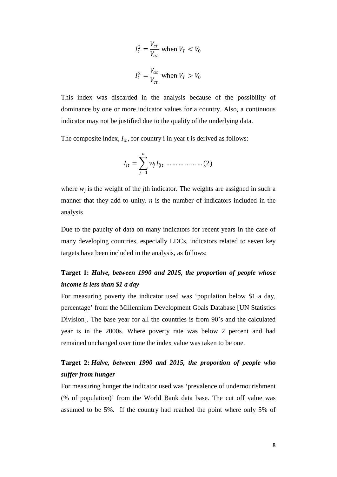$$
I_t^2 = \frac{V_{ct}}{V_{at}}
$$
 when  $V_T < V_0$   

$$
I_t^2 = \frac{V_{at}}{V_{ct}}
$$
 when  $V_T > V_0$ 

This index was discarded in the analysis because of the possibility of dominance by one or more indicator values for a country. Also, a continuous indicator may not be justified due to the quality of the underlying data.

The composite index,  $I_{it}$ , for country i in year t is derived as follows:

$$
I_{it} = \sum_{j=1}^{n} w_j I_{ijt} \dots \dots \dots \dots \dots (2)
$$

where  $w_j$  is the weight of the *j*th indicator. The weights are assigned in such a manner that they add to unity. *n* is the number of indicators included in the analysis

Due to the paucity of data on many indicators for recent years in the case of many developing countries, especially LDCs, indicators related to seven key targets have been included in the analysis, as follows:

## **Target 1:**  *Halve, between 1990 and 2015, the proportion of people whose income is less than \$1 a day*

For measuring poverty the indicator used was 'population below \$1 a day, percentage' from the Millennium Development Goals Database [UN Statistics Division]. The base year for all the countries is from 90's and the calculated year is in the 2000s. Where poverty rate was below 2 percent and had remained unchanged over time the index value was taken to be one.

# **Target 2:** *Halve, between 1990 and 2015, the proportion of people who suffer from hunger*

For measuring hunger the indicator used was 'prevalence of undernourishment (% of population)' from the World Bank data base. The cut off value was assumed to be 5%. If the country had reached the point where only 5% of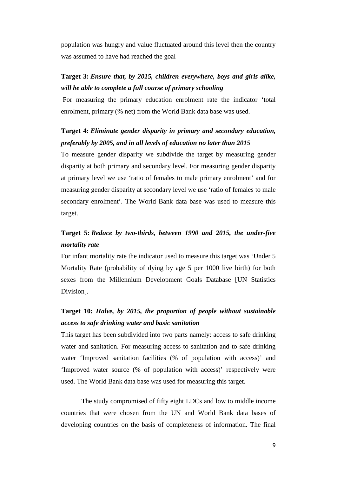population was hungry and value fluctuated around this level then the country was assumed to have had reached the goal

## **Target 3:** *Ensure that, by 2015, children everywhere, boys and girls alike, will be able to complete a full course of primary schooling*

For measuring the primary education enrolment rate the indicator 'total enrolment, primary (% net) from the World Bank data base was used.

# **Target 4:** *Eliminate gender disparity in primary and secondary education, preferably by 2005, and in all levels of education no later than 2015*

To measure gender disparity we subdivide the target by measuring gender disparity at both primary and secondary level. For measuring gender disparity at primary level we use 'ratio of females to male primary enrolment' and for measuring gender disparity at secondary level we use 'ratio of females to male secondary enrolment'. The World Bank data base was used to measure this target.

# **Target 5:** *Reduce by two-thirds, between 1990 and 2015, the under-five mortality rate*

For infant mortality rate the indicator used to measure this target was 'Under 5 Mortality Rate (probability of dying by age 5 per 1000 live birth) for both sexes from the Millennium Development Goals Database [UN Statistics Division].

## **Target 10:** *Halve, by 2015, the proportion of people without sustainable access to safe drinking water and basic sanitation*

This target has been subdivided into two parts namely: access to safe drinking water and sanitation. For measuring access to sanitation and to safe drinking water 'Improved sanitation facilities (% of population with access)' and 'Improved water source (% of population with access)' respectively were used. The World Bank data base was used for measuring this target.

The study compromised of fifty eight LDCs and low to middle income countries that were chosen from the UN and World Bank data bases of developing countries on the basis of completeness of information. The final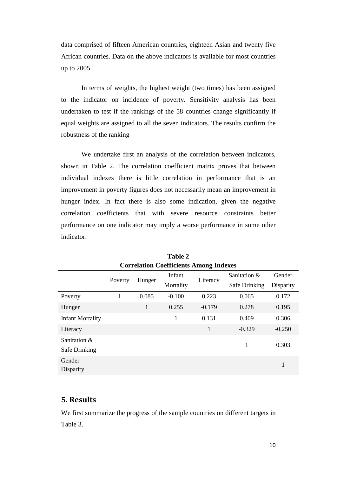data comprised of fifteen American countries, eighteen Asian and twenty five African countries. Data on the above indicators is available for most countries up to 2005.

In terms of weights, the highest weight (two times) has been assigned to the indicator on incidence of poverty. Sensitivity analysis has been undertaken to test if the rankings of the 58 countries change significantly if equal weights are assigned to all the seven indicators. The results confirm the robustness of the ranking

We undertake first an analysis of the correlation between indicators, shown in Table 2. The correlation coefficient matrix proves that between individual indexes there is little correlation in performance that is an improvement in poverty figures does not necessarily mean an improvement in hunger index. In fact there is also some indication, given the negative correlation coefficients that with severe resource constraints better performance on one indicator may imply a worse performance in some other indicator.

|                               |         |        |           | ъ        |               |           |
|-------------------------------|---------|--------|-----------|----------|---------------|-----------|
|                               |         |        | Infant    | Literacy | Sanitation &  | Gender    |
|                               | Poverty | Hunger | Mortality |          | Safe Drinking | Disparity |
| Poverty                       | 1       | 0.085  | $-0.100$  | 0.223    | 0.065         | 0.172     |
| Hunger                        |         | 1      | 0.255     | $-0.179$ | 0.278         | 0.195     |
| <b>Infant Mortality</b>       |         |        | 1         | 0.131    | 0.409         | 0.306     |
| Literacy                      |         |        |           | 1        | $-0.329$      | $-0.250$  |
| Sanitation &<br>Safe Drinking |         |        |           |          | 1             | 0.303     |
| Gender<br>Disparity           |         |        |           |          |               | 1         |

**Table 2 Correlation Coefficients Among Indexes**

#### **5. Results**

We first summarize the progress of the sample countries on different targets in Table 3.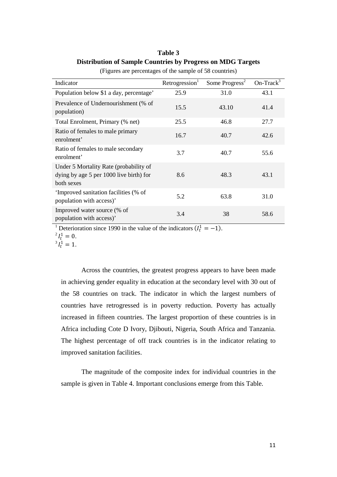## **Table 3 Distribution of Sample Countries by Progress on MDG Targets**

| Indicator                                                                                       | Retrogression <sup>1</sup> | Some Progress <sup>2</sup> | On-Track $3$ |
|-------------------------------------------------------------------------------------------------|----------------------------|----------------------------|--------------|
| Population below \$1 a day, percentage'                                                         | 25.9                       | 31.0                       | 43.1         |
| Prevalence of Undernourishment (% of<br>population)                                             | 15.5                       | 43.10                      | 41.4         |
| Total Enrolment, Primary (% net)                                                                | 25.5                       | 46.8                       | 27.7         |
| Ratio of females to male primary<br>enrolment'                                                  | 16.7                       | 40.7                       | 42.6         |
| Ratio of females to male secondary<br>enrolment'                                                | 3.7                        | 40.7                       | 55.6         |
| Under 5 Mortality Rate (probability of<br>dying by age 5 per 1000 live birth) for<br>both sexes | 8.6                        | 48.3                       | 43.1         |
| 'Improved sanitation facilities (% of<br>population with access)'                               | 5.2                        | 63.8                       | 31.0         |
| Improved water source (% of<br>population with access)'                                         | 3.4                        | 38                         | 58.6         |

(Figures are percentages of the sample of 58 countries)

<sup>1</sup> Deterioration since 1990 in the value of the indicators  $(I_t^1 = -1)$ .<br><sup>2</sup> $I_t^1 = 0$ .<br><sup>3</sup> $I_t^1 = 1$ .

Across the countries, the greatest progress appears to have been made in achieving gender equality in education at the secondary level with 30 out of the 58 countries on track. The indicator in which the largest numbers of countries have retrogressed is in poverty reduction. Poverty has actually increased in fifteen countries. The largest proportion of these countries is in Africa including Cote D Ivory, Djibouti, Nigeria, South Africa and Tanzania. The highest percentage of off track countries is in the indicator relating to improved sanitation facilities.

The magnitude of the composite index for individual countries in the sample is given in Table 4. Important conclusions emerge from this Table.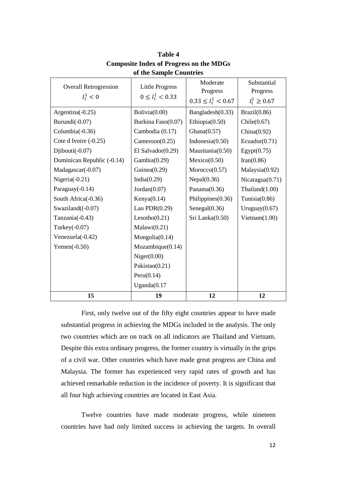| <b>Overall Retrogression</b><br>$I_t^1 < 0$ | <b>Little Progress</b><br>$0 \leq I_t^1 < 0.33$ | Moderate<br>Progress<br>$0.33 \leq I_t^1 < 0.67$ | Substantial<br>Progress<br>$I_t^1 \ge 0.67$ |
|---------------------------------------------|-------------------------------------------------|--------------------------------------------------|---------------------------------------------|
| Argentina(-0.25)                            | Bolivia(0.00)                                   | Bangladesh(0.33)                                 | Brazil(0.86)                                |
| Burundi(-0.07)                              | Burkina Faso(0.07)                              | Ethiopia(0.50)                                   | Chile(0.67)                                 |
| Columbia(-0.36)                             | Cambodia (0.17)                                 | Ghana(0.57)                                      | China(0.92)                                 |
| Cote d Ivoire (-0.25)                       | Cameroon(0.25)                                  | Indonesia $(0.50)$                               | Ecuador(0.71)                               |
| Djibouti(-0.07)                             | El Salvador $(0.29)$                            | Mauritania(0.50)                                 | Egypt(0.75)                                 |
| Dominican Republic (-0.14)                  | Gambia $(0.29)$                                 | Mexico(0.50)                                     | Iran(0.86)                                  |
| Madagascar(-0.07)                           | Guinea $(0.29)$                                 | Moreover(0.57)                                   | Malaysia(0.92)                              |
| Nigeria $(-0.21)$                           | India $(0.29)$                                  | Nepal(0.36)                                      | Nicaragua(0.71)                             |
| Paraguay(-0.14)                             | Jordan(0.07)                                    | Panama $(0.36)$                                  | Thailand $(1.00)$                           |
| South Africa(-0.36)                         | Kenya(0.14)                                     | Philippines $(0.36)$                             | Tunisia(0.86)                               |
| Swaziland $((-0.07))$                       | Lao $PDR(0.29)$                                 | Senegal $(0.36)$                                 | Uruguay $(0.67)$                            |
| Tanzania(-0.43)                             | Lesotho(0.21)                                   | Sri Lanka(0.50)                                  | Vietnam $(1.00)$                            |
| Turkey $(-0.07)$                            | Malawi(0.21)                                    |                                                  |                                             |
| Venezuela(-0.42)                            | Mongolia(0.14)                                  |                                                  |                                             |
| Yemen $(-0.50)$                             | Mozambique(0.14)                                |                                                  |                                             |
|                                             | Niger(0.00)                                     |                                                  |                                             |
|                                             | Pakistan(0.21)                                  |                                                  |                                             |
|                                             | Peru(0.14)                                      |                                                  |                                             |
|                                             | Uganda(0.17)                                    |                                                  |                                             |
| 15                                          | 19                                              | 12                                               | 12                                          |

**Table 4 Composite Index of Progress on the MDGs of the Sample Countries**

First, only twelve out of the fifty eight countries appear to have made substantial progress in achieving the MDGs included in the analysis. The only two countries which are on track on all indicators are Thailand and Vietnam. Despite this extra ordinary progress, the former country is virtually in the grips of a civil war. Other countries which have made great progress are China and Malaysia. The former has experienced very rapid rates of growth and has achieved remarkable reduction in the incidence of poverty. It is significant that all four high achieving countries are located in East Asia.

Twelve countries have made moderate progress, while nineteen countries have had only limited success in achieving the targets. In overall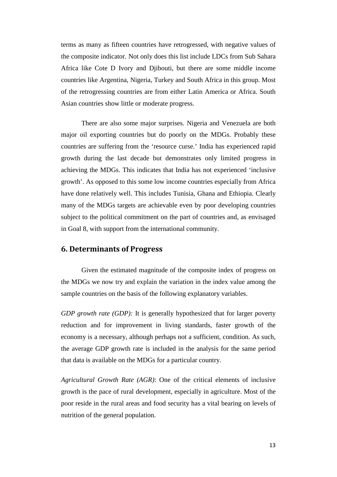terms as many as fifteen countries have retrogressed, with negative values of the composite indicator. Not only does this list include LDCs from Sub Sahara Africa like Cote D Ivory and Djibouti, but there are some middle income countries like Argentina, Nigeria, Turkey and South Africa in this group. Most of the retrogressing countries are from either Latin America or Africa. South Asian countries show little or moderate progress.

There are also some major surprises. Nigeria and Venezuela are both major oil exporting countries but do poorly on the MDGs. Probably these countries are suffering from the 'resource curse.' India has experienced rapid growth during the last decade but demonstrates only limited progress in achieving the MDGs. This indicates that India has not experienced 'inclusive growth'. As opposed to this some low income countries especially from Africa have done relatively well. This includes Tunisia, Ghana and Ethiopia. Clearly many of the MDGs targets are achievable even by poor developing countries subject to the political commitment on the part of countries and, as envisaged in Goal 8, with support from the international community.

#### **6. Determinants of Progress**

Given the estimated magnitude of the composite index of progress on the MDGs we now try and explain the variation in the index value among the sample countries on the basis of the following explanatory variables.

*GDP growth rate (GDP):* It is generally hypothesized that for larger poverty reduction and for improvement in living standards, faster growth of the economy is a necessary, although perhaps not a sufficient, condition. As such, the average GDP growth rate is included in the analysis for the same period that data is available on the MDGs for a particular country.

*Agricultural Growth Rate (AGR)*: One of the critical elements of inclusive growth is the pace of rural development, especially in agriculture. Most of the poor reside in the rural areas and food security has a vital bearing on levels of nutrition of the general population.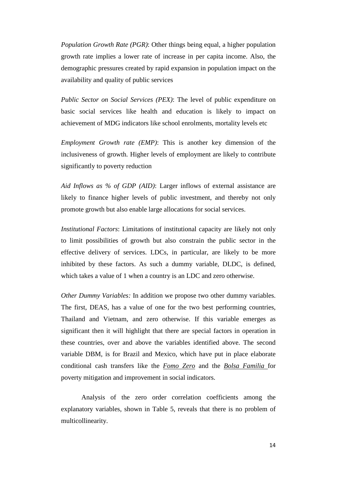*Population Growth Rate (PGR)*: Other things being equal, a higher population growth rate implies a lower rate of increase in per capita income. Also, the demographic pressures created by rapid expansion in population impact on the availability and quality of public services

*Public Sector on Social Services (PEX)*: The level of public expenditure on basic social services like health and education is likely to impact on achievement of MDG indicators like school enrolments, mortality levels etc

*Employment Growth rate (EMP)*: This is another key dimension of the inclusiveness of growth. Higher levels of employment are likely to contribute significantly to poverty reduction

*Aid Inflows as % of GDP (AID)*: Larger inflows of external assistance are likely to finance higher levels of public investment, and thereby not only promote growth but also enable large allocations for social services.

*Institutional Factors*: Limitations of institutional capacity are likely not only to limit possibilities of growth but also constrain the public sector in the effective delivery of services. LDCs, in particular, are likely to be more inhibited by these factors. As such a dummy variable, DLDC, is defined, which takes a value of 1 when a country is an LDC and zero otherwise.

*Other Dummy Variables:* In addition we propose two other dummy variables. The first, DEAS, has a value of one for the two best performing countries, Thailand and Vietnam, and zero otherwise. If this variable emerges as significant then it will highlight that there are special factors in operation in these countries, over and above the variables identified above. The second variable DBM, is for Brazil and Mexico, which have put in place elaborate conditional cash transfers like the *Fomo Zero* and the *Bolsa Familia* for poverty mitigation and improvement in social indicators.

Analysis of the zero order correlation coefficients among the explanatory variables, shown in Table 5, reveals that there is no problem of multicollinearity.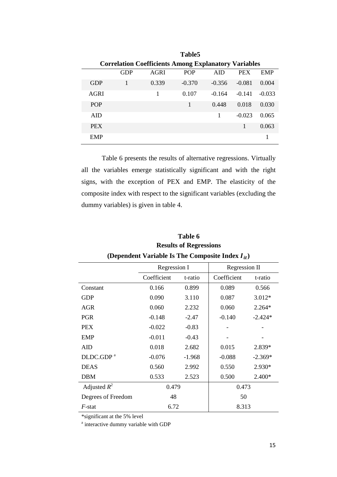|             |            |                                                             | Table <sub>5</sub> |          |            |            |
|-------------|------------|-------------------------------------------------------------|--------------------|----------|------------|------------|
|             |            | <b>Correlation Coefficients Among Explanatory Variables</b> |                    |          |            |            |
|             | <b>GDP</b> | <b>AGRI</b>                                                 | <b>POP</b>         | AID      | <b>PEX</b> | <b>EMP</b> |
| <b>GDP</b>  | 1          | 0.339                                                       | $-0.370$           | $-0.356$ | $-0.081$   | 0.004      |
| <b>AGRI</b> |            | 1                                                           | 0.107              | $-0.164$ | $-0.141$   | $-0.033$   |
| <b>POP</b>  |            |                                                             | 1                  | 0.448    | 0.018      | 0.030      |
| AID         |            |                                                             |                    | 1        | $-0.023$   | 0.065      |
| <b>PEX</b>  |            |                                                             |                    |          | 1          | 0.063      |
| <b>EMP</b>  |            |                                                             |                    |          |            |            |

Table 6 presents the results of alternative regressions. Virtually all the variables emerge statistically significant and with the right signs, with the exception of PEX and EMP. The elasticity of the composite index with respect to the significant variables (excluding the dummy variables) is given in table 4.

|                       | Regression I |          | Regression II |           |
|-----------------------|--------------|----------|---------------|-----------|
|                       | Coefficient  | t-ratio  | Coefficient   | t-ratio   |
| Constant              | 0.166        | 0.899    | 0.089         | 0.566     |
| GDP                   | 0.090        | 3.110    | 0.087         | $3.012*$  |
| AGR                   | 0.060        | 2.232    | 0.060         | $2.264*$  |
| <b>PGR</b>            | $-0.148$     | $-2.47$  | $-0.140$      | $-2.424*$ |
| <b>PEX</b>            | $-0.022$     | $-0.83$  |               |           |
| <b>EMP</b>            | $-0.011$     | $-0.43$  |               |           |
| AID                   | 0.018        | 2.682    | 0.015         | 2.839*    |
| DLDC.GDP <sup>a</sup> | $-0.076$     | $-1.968$ | $-0.088$      | $-2.369*$ |
| <b>DEAS</b>           | 0.560        | 2.992    | 0.550         | 2.930*    |
| <b>DBM</b>            | 0.533        | 2.523    | 0.500         | 2.400*    |
| Adjusted $R^2$        | 0.479        |          | 0.473         |           |
| Degrees of Freedom    | 48           |          | 50            |           |
| F-stat                | 6.72         |          | 8.313         |           |

## **Table 6 Results of Regressions (Dependent Variable Is The Composite Index**  $I_{it}$ **)**

\*significant at the 5% level

<sup>a</sup> interactive dummy variable with GDP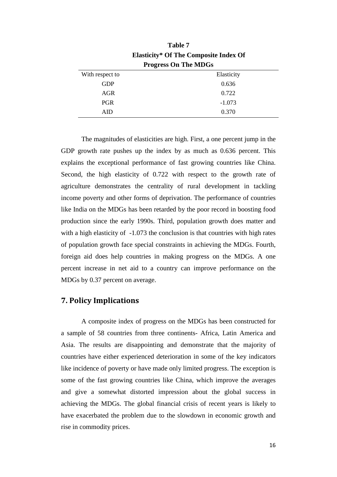| <b>Progress On The MDGs</b> |            |  |
|-----------------------------|------------|--|
| With respect to             | Elasticity |  |
| <b>GDP</b>                  | 0.636      |  |
| AGR                         | 0.722      |  |
| <b>PGR</b>                  | $-1.073$   |  |
| AID                         | 0.370      |  |

**Table 7 Elasticity\* Of The Composite Index Of Progress On The MDGs**

The magnitudes of elasticities are high. First, a one percent jump in the GDP growth rate pushes up the index by as much as 0.636 percent. This explains the exceptional performance of fast growing countries like China. Second, the high elasticity of 0.722 with respect to the growth rate of agriculture demonstrates the centrality of rural development in tackling income poverty and other forms of deprivation. The performance of countries like India on the MDGs has been retarded by the poor record in boosting food production since the early 1990s. Third, population growth does matter and with a high elasticity of  $-1.073$  the conclusion is that countries with high rates of population growth face special constraints in achieving the MDGs. Fourth, foreign aid does help countries in making progress on the MDGs. A one percent increase in net aid to a country can improve performance on the MDGs by 0.37 percent on average.

#### **7. Policy Implications**

A composite index of progress on the MDGs has been constructed for a sample of 58 countries from three continents- Africa, Latin America and Asia. The results are disappointing and demonstrate that the majority of countries have either experienced deterioration in some of the key indicators like incidence of poverty or have made only limited progress. The exception is some of the fast growing countries like China, which improve the averages and give a somewhat distorted impression about the global success in achieving the MDGs. The global financial crisis of recent years is likely to have exacerbated the problem due to the slowdown in economic growth and rise in commodity prices.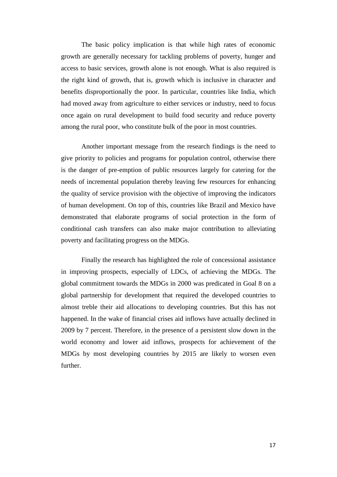The basic policy implication is that while high rates of economic growth are generally necessary for tackling problems of poverty, hunger and access to basic services, growth alone is not enough. What is also required is the right kind of growth, that is, growth which is inclusive in character and benefits disproportionally the poor. In particular, countries like India, which had moved away from agriculture to either services or industry, need to focus once again on rural development to build food security and reduce poverty among the rural poor, who constitute bulk of the poor in most countries.

Another important message from the research findings is the need to give priority to policies and programs for population control, otherwise there is the danger of pre-emption of public resources largely for catering for the needs of incremental population thereby leaving few resources for enhancing the quality of service provision with the objective of improving the indicators of human development. On top of this, countries like Brazil and Mexico have demonstrated that elaborate programs of social protection in the form of conditional cash transfers can also make major contribution to alleviating poverty and facilitating progress on the MDGs.

Finally the research has highlighted the role of concessional assistance in improving prospects, especially of LDCs, of achieving the MDGs. The global commitment towards the MDGs in 2000 was predicated in Goal 8 on a global partnership for development that required the developed countries to almost treble their aid allocations to developing countries. But this has not happened. In the wake of financial crises aid inflows have actually declined in 2009 by 7 percent. Therefore, in the presence of a persistent slow down in the world economy and lower aid inflows, prospects for achievement of the MDGs by most developing countries by 2015 are likely to worsen even further.

17